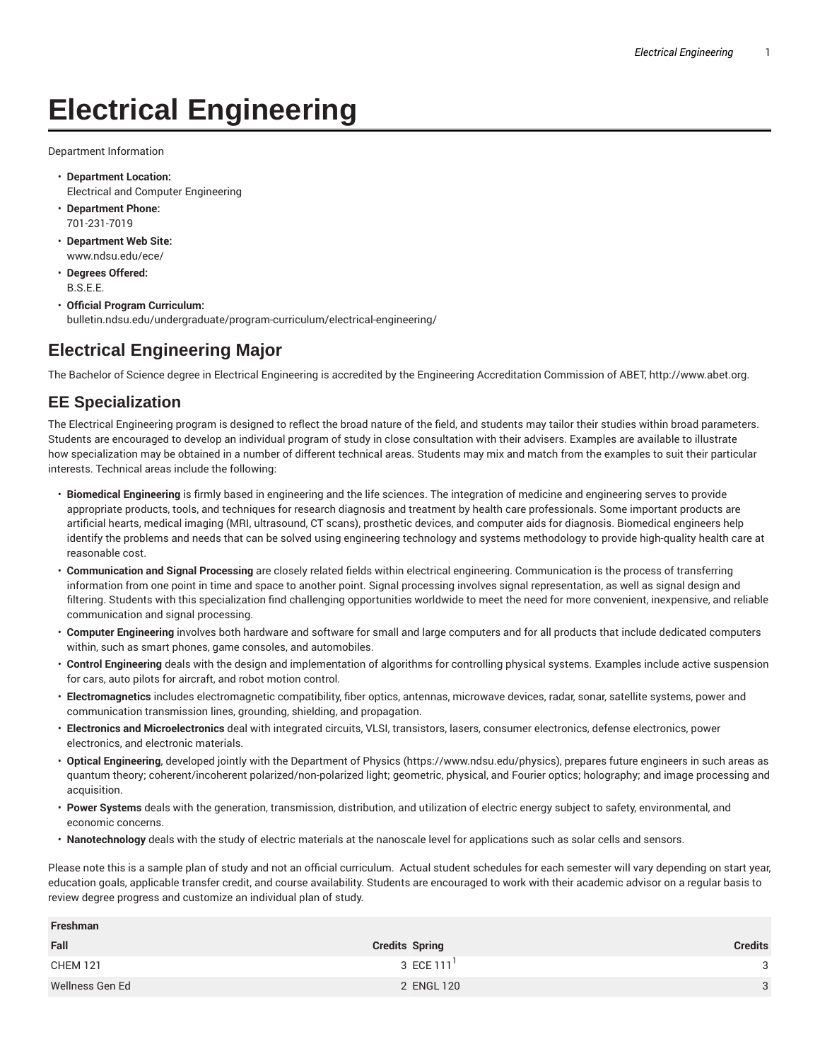## **Electrical Engineering**

Department Information

- **Department Location:** Electrical and Computer Engineering
- **Department Phone:** 701-231-7019
- **Department Web Site:** www.ndsu.edu/ece/
- **Degrees Offered:** B.S.E.E.
- **Official Program Curriculum:** bulletin.ndsu.edu/undergraduate/program-curriculum/electrical-engineering/

## **Electrical Engineering Major**

The Bachelor of Science degree in Electrical Engineering is accredited by the Engineering Accreditation Commission of ABET, http://www.abet.org.

## **EE Specialization**

**Freshman**

The Electrical Engineering program is designed to reflect the broad nature of the field, and students may tailor their studies within broad parameters. Students are encouraged to develop an individual program of study in close consultation with their advisers. Examples are available to illustrate how specialization may be obtained in a number of different technical areas. Students may mix and match from the examples to suit their particular interests. Technical areas include the following:

- **Biomedical Engineering** is firmly based in engineering and the life sciences. The integration of medicine and engineering serves to provide appropriate products, tools, and techniques for research diagnosis and treatment by health care professionals. Some important products are artificial hearts, medical imaging (MRI, ultrasound, CT scans), prosthetic devices, and computer aids for diagnosis. Biomedical engineers help identify the problems and needs that can be solved using engineering technology and systems methodology to provide high-quality health care at reasonable cost.
- **Communication and Signal Processing** are closely related fields within electrical engineering. Communication is the process of transferring information from one point in time and space to another point. Signal processing involves signal representation, as well as signal design and filtering. Students with this specialization find challenging opportunities worldwide to meet the need for more convenient, inexpensive, and reliable communication and signal processing.
- **Computer Engineering** involves both hardware and software for small and large computers and for all products that include dedicated computers within, such as smart phones, game consoles, and automobiles.
- **Control Engineering** deals with the design and implementation of algorithms for controlling physical systems. Examples include active suspension for cars, auto pilots for aircraft, and robot motion control.
- **Electromagnetics** includes electromagnetic compatibility, fiber optics, antennas, microwave devices, radar, sonar, satellite systems, power and communication transmission lines, grounding, shielding, and propagation.
- **Electronics and Microelectronics** deal with integrated circuits, VLSI, transistors, lasers, consumer electronics, defense electronics, power electronics, and electronic materials.
- **Optical Engineering**, developed jointly with the Department of Physics (https://www.ndsu.edu/physics), prepares future engineers in such areas as quantum theory; coherent/incoherent polarized/non-polarized light; geometric, physical, and Fourier optics; holography; and image processing and acquisition.
- **Power Systems** deals with the generation, transmission, distribution, and utilization of electric energy subject to safety, environmental, and economic concerns.
- **Nanotechnology** deals with the study of electric materials at the nanoscale level for applications such as solar cells and sensors.

Please note this is a sample plan of study and not an official curriculum. Actual student schedules for each semester will vary depending on start year, education goals, applicable transfer credit, and course availability. Students are encouraged to work with their academic advisor on a regular basis to review degree progress and customize an individual plan of study.

| <b>FIESIIIII</b> dII |                       |                |  |
|----------------------|-----------------------|----------------|--|
| Fall                 | <b>Credits Spring</b> | <b>Credits</b> |  |
| <b>CHEM 121</b>      | 3 ECE 111             | $\mathbf{P}$   |  |
| Wellness Gen Ed      | 2 ENGL 120            | $\mathbf{3}$   |  |